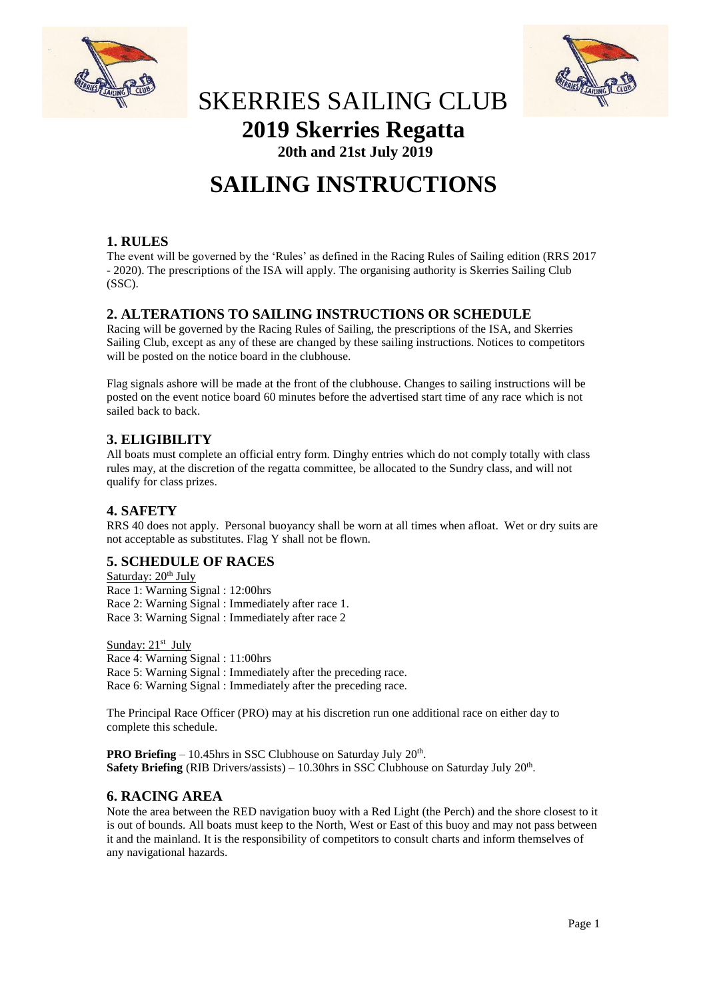



## SKERRIES SAILING CLUB **2019 Skerries Regatta**

**20th and 21st July 2019**

# **SAILING INSTRUCTIONS**

## **1. RULES**

The event will be governed by the 'Rules' as defined in the Racing Rules of Sailing edition (RRS 2017 - 2020). The prescriptions of the ISA will apply. The organising authority is Skerries Sailing Club (SSC).

## **2. ALTERATIONS TO SAILING INSTRUCTIONS OR SCHEDULE**

Racing will be governed by the Racing Rules of Sailing, the prescriptions of the ISA, and Skerries Sailing Club, except as any of these are changed by these sailing instructions. Notices to competitors will be posted on the notice board in the clubhouse.

Flag signals ashore will be made at the front of the clubhouse. Changes to sailing instructions will be posted on the event notice board 60 minutes before the advertised start time of any race which is not sailed back to back.

## **3. ELIGIBILITY**

All boats must complete an official entry form. Dinghy entries which do not comply totally with class rules may, at the discretion of the regatta committee, be allocated to the Sundry class, and will not qualify for class prizes.

## **4. SAFETY**

RRS 40 does not apply. Personal buoyancy shall be worn at all times when afloat. Wet or dry suits are not acceptable as substitutes. Flag Y shall not be flown.

## **5. SCHEDULE OF RACES**

Saturday: 20<sup>th</sup> July Race 1: Warning Signal : 12:00hrs Race 2: Warning Signal : Immediately after race 1. Race 3: Warning Signal : Immediately after race 2

Sunday: 21<sup>st</sup> July Race 4: Warning Signal : 11:00hrs Race 5: Warning Signal : Immediately after the preceding race. Race 6: Warning Signal : Immediately after the preceding race.

The Principal Race Officer (PRO) may at his discretion run one additional race on either day to complete this schedule.

**PRO Briefing**  $-10.45$ hrs in SSC Clubhouse on Saturday July  $20<sup>th</sup>$ . Safety Briefing (RIB Drivers/assists) – 10.30hrs in SSC Clubhouse on Saturday July 20<sup>th</sup>.

## **6. RACING AREA**

Note the area between the RED navigation buoy with a Red Light (the Perch) and the shore closest to it is out of bounds. All boats must keep to the North, West or East of this buoy and may not pass between it and the mainland. It is the responsibility of competitors to consult charts and inform themselves of any navigational hazards.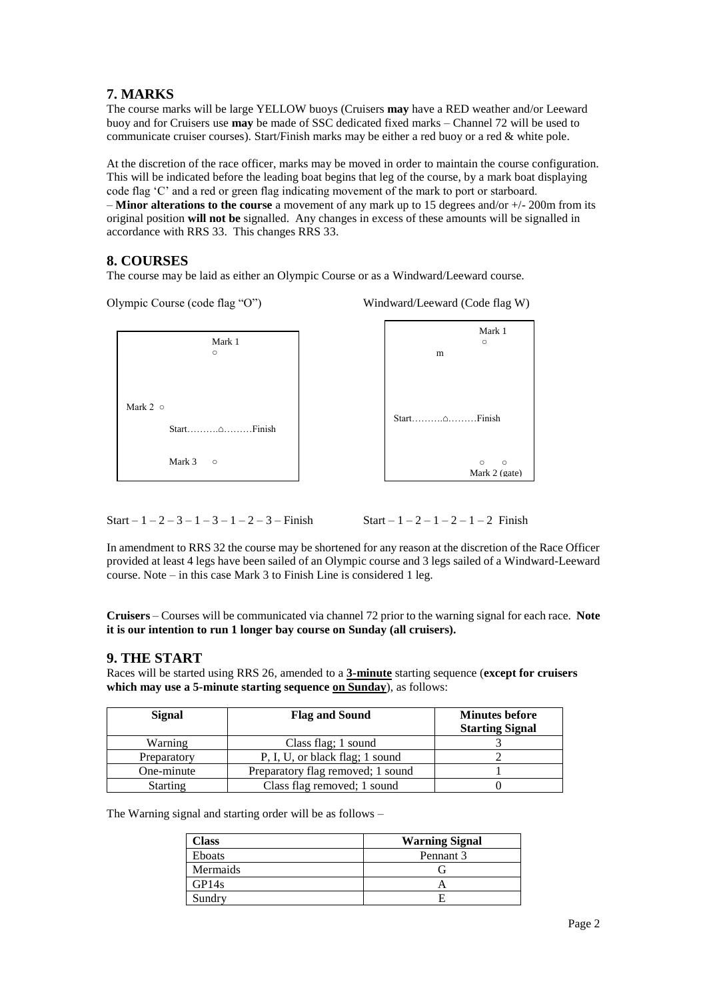## **7. MARKS**

The course marks will be large YELLOW buoys (Cruisers **may** have a RED weather and/or Leeward buoy and for Cruisers use **may** be made of SSC dedicated fixed marks – Channel 72 will be used to communicate cruiser courses). Start/Finish marks may be either a red buoy or a red & white pole.

At the discretion of the race officer, marks may be moved in order to maintain the course configuration. This will be indicated before the leading boat begins that leg of the course, by a mark boat displaying code flag 'C' and a red or green flag indicating movement of the mark to port or starboard. – **Minor alterations to the course** a movement of any mark up to 15 degrees and/or +/- 200m from its original position **will not be** signalled. Any changes in excess of these amounts will be signalled in accordance with RRS 33. This changes RRS 33.

## **8. COURSES**

The course may be laid as either an Olympic Course or as a Windward/Leeward course.

Olympic Course (code flag "O") Windward/Leeward (Code flag W)



Start –  $1 - 2 - 3 - 1 - 3 - 1 - 2 - 3$  – Finish Start –  $1 - 2 - 1 - 2 - 1 - 2$  Finish

In amendment to RRS 32 the course may be shortened for any reason at the discretion of the Race Officer provided at least 4 legs have been sailed of an Olympic course and 3 legs sailed of a Windward-Leeward course. Note – in this case Mark 3 to Finish Line is considered 1 leg.

**Cruisers** – Courses will be communicated via channel 72 prior to the warning signal for each race. **Note it is our intention to run 1 longer bay course on Sunday (all cruisers).**

## **9. THE START**

Races will be started using RRS 26, amended to a **3-minute** starting sequence (**except for cruisers which may use a 5-minute starting sequence on Sunday**), as follows:

| Signal          | <b>Flag and Sound</b>             | <b>Minutes before</b><br><b>Starting Signal</b> |
|-----------------|-----------------------------------|-------------------------------------------------|
| Warning         | Class flag; 1 sound               |                                                 |
| Preparatory     | P, I, U, or black flag; 1 sound   |                                                 |
| One-minute      | Preparatory flag removed; 1 sound |                                                 |
| <b>Starting</b> | Class flag removed; 1 sound       |                                                 |

The Warning signal and starting order will be as follows –

| Class         | <b>Warning Signal</b> |
|---------------|-----------------------|
| <b>Eboats</b> | Pennant 3             |
| Mermaids      |                       |
| GP14s         |                       |
| Sundry        |                       |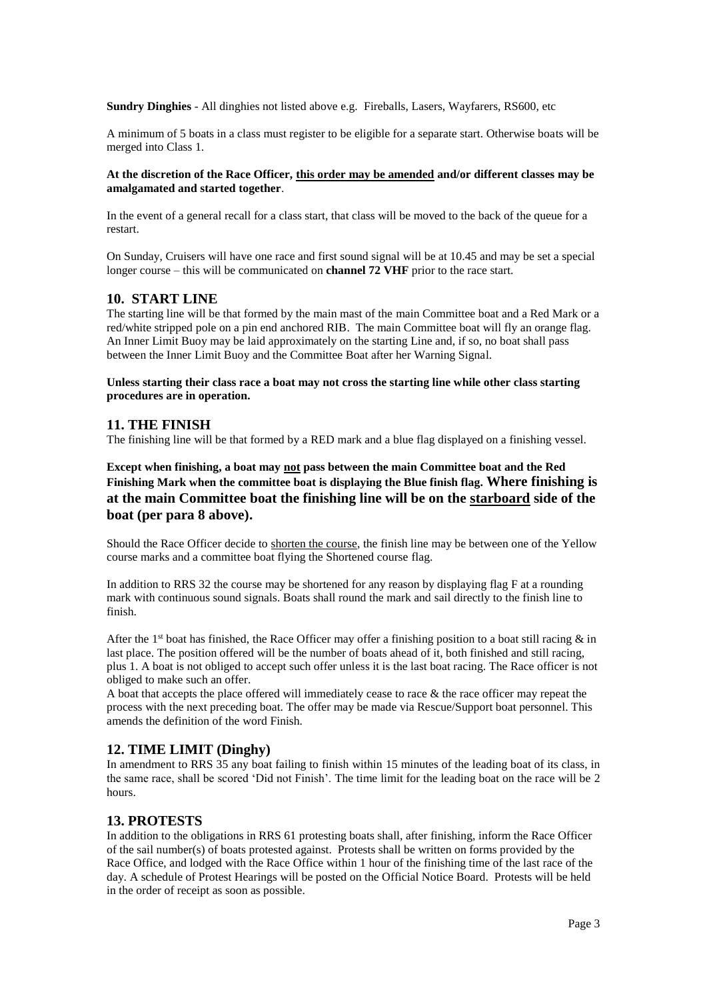**Sundry Dinghies** - All dinghies not listed above e.g. Fireballs, Lasers, Wayfarers, RS600, etc

A minimum of 5 boats in a class must register to be eligible for a separate start. Otherwise boats will be merged into Class 1.

#### **At the discretion of the Race Officer, this order may be amended and/or different classes may be amalgamated and started together**.

In the event of a general recall for a class start, that class will be moved to the back of the queue for a restart.

On Sunday, Cruisers will have one race and first sound signal will be at 10.45 and may be set a special longer course – this will be communicated on **channel 72 VHF** prior to the race start.

#### **10. START LINE**

The starting line will be that formed by the main mast of the main Committee boat and a Red Mark or a red/white stripped pole on a pin end anchored RIB. The main Committee boat will fly an orange flag. An Inner Limit Buoy may be laid approximately on the starting Line and, if so, no boat shall pass between the Inner Limit Buoy and the Committee Boat after her Warning Signal.

#### **Unless starting their class race a boat may not cross the starting line while other class starting procedures are in operation.**

#### **11. THE FINISH**

The finishing line will be that formed by a RED mark and a blue flag displayed on a finishing vessel.

## **Except when finishing, a boat may not pass between the main Committee boat and the Red Finishing Mark when the committee boat is displaying the Blue finish flag. Where finishing is at the main Committee boat the finishing line will be on the starboard side of the boat (per para 8 above).**

Should the Race Officer decide to shorten the course, the finish line may be between one of the Yellow course marks and a committee boat flying the Shortened course flag.

In addition to RRS 32 the course may be shortened for any reason by displaying flag F at a rounding mark with continuous sound signals. Boats shall round the mark and sail directly to the finish line to finish.

After the 1<sup>st</sup> boat has finished, the Race Officer may offer a finishing position to a boat still racing  $\&$  in last place. The position offered will be the number of boats ahead of it, both finished and still racing, plus 1. A boat is not obliged to accept such offer unless it is the last boat racing. The Race officer is not obliged to make such an offer.

A boat that accepts the place offered will immediately cease to race  $\&$  the race officer may repeat the process with the next preceding boat. The offer may be made via Rescue/Support boat personnel. This amends the definition of the word Finish.

#### **12. TIME LIMIT (Dinghy)**

In amendment to RRS 35 any boat failing to finish within 15 minutes of the leading boat of its class, in the same race, shall be scored 'Did not Finish'. The time limit for the leading boat on the race will be 2 hours.

#### **13. PROTESTS**

In addition to the obligations in RRS 61 protesting boats shall, after finishing, inform the Race Officer of the sail number(s) of boats protested against. Protests shall be written on forms provided by the Race Office, and lodged with the Race Office within 1 hour of the finishing time of the last race of the day. A schedule of Protest Hearings will be posted on the Official Notice Board. Protests will be held in the order of receipt as soon as possible.